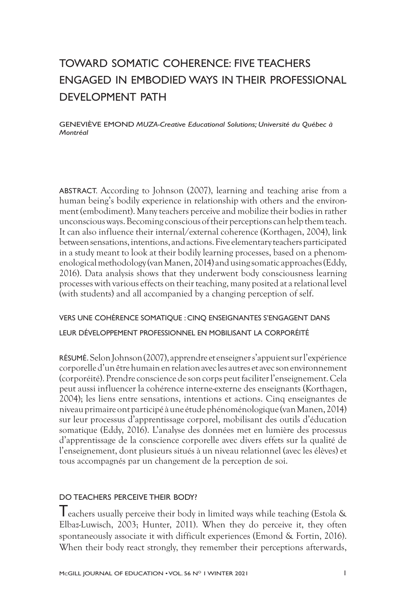# TOWARD SOMATIC COHERENCE: FIVE TEACHERS ENGAGED IN EMBODIED WAYS IN THEIR PROFESSIONAL DEVELOPMENT PATH

GENEVIÈVE EMOND *MUZA-Creative Educational Solutions; Université du Québec à Montréal*

ABSTRACT. According to Johnson (2007), learning and teaching arise from a human being's bodily experience in relationship with others and the environment (embodiment). Many teachers perceive and mobilize their bodies in rather unconscious ways. Becoming conscious of their perceptions can help them teach. It can also influence their internal/external coherence (Korthagen, 2004), link between sensations, intentions, and actions. Five elementary teachers participated in a study meant to look at their bodily learning processes, based on a phenomenological methodology (van Manen, 2014) and using somatic approaches (Eddy, 2016). Data analysis shows that they underwent body consciousness learning processes with various effects on their teaching, many posited at a relational level (with students) and all accompanied by a changing perception of self.

## VERS UNE COHÉRENCE SOMATIQUE : CINQ ENSEIGNANTES S'ENGAGENT DANS LEUR DÉVELOPPEMENT PROFESSIONNEL EN MOBILISANT LA CORPORÉITÉ

RÉSUMÉ. Selon Johnson (2007), apprendre et enseigner s'appuient sur l'expérience corporelle d'un être humain en relation avec les autres et avec son environnement (corporéité). Prendre conscience de son corps peut faciliter l'enseignement. Cela peut aussi influencer la cohérence interne-externe des enseignants (Korthagen, 2004); les liens entre sensations, intentions et actions. Cinq enseignantes de niveau primaire ont participé à une étude phénoménologique (van Manen, 2014) sur leur processus d'apprentissage corporel, mobilisant des outils d'éducation somatique (Eddy, 2016). L'analyse des données met en lumière des processus d'apprentissage de la conscience corporelle avec divers effets sur la qualité de l'enseignement, dont plusieurs situés à un niveau relationnel (avec les élèves) et tous accompagnés par un changement de la perception de soi.

## DO TEACHERS PERCEIVE THEIR BODY?

Teachers usually perceive their body in limited ways while teaching (Estola & Elbaz-Luwisch, 2003; Hunter, 2011). When they do perceive it, they often spontaneously associate it with difficult experiences (Emond & Fortin, 2016). When their body react strongly, they remember their perceptions afterwards,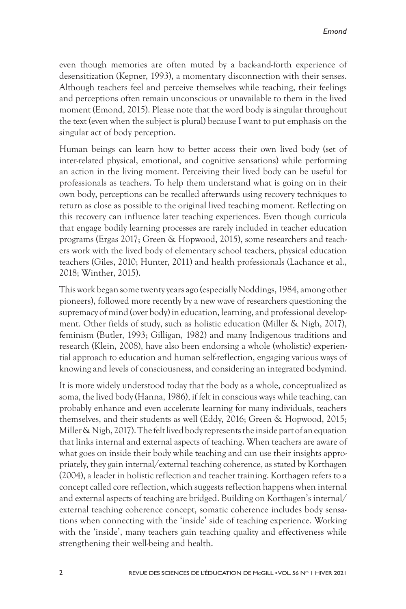even though memories are often muted by a back-and-forth experience of desensitization (Kepner, 1993), a momentary disconnection with their senses. Although teachers feel and perceive themselves while teaching, their feelings and perceptions often remain unconscious or unavailable to them in the lived moment (Emond, 2015). Please note that the word body is singular throughout the text (even when the subject is plural) because I want to put emphasis on the singular act of body perception.

Human beings can learn how to better access their own lived body (set of inter-related physical, emotional, and cognitive sensations) while performing an action in the living moment. Perceiving their lived body can be useful for professionals as teachers. To help them understand what is going on in their own body, perceptions can be recalled afterwards using recovery techniques to return as close as possible to the original lived teaching moment. Reflecting on this recovery can influence later teaching experiences. Even though curricula that engage bodily learning processes are rarely included in teacher education programs (Ergas 2017; Green & Hopwood, 2015), some researchers and teachers work with the lived body of elementary school teachers, physical education teachers (Giles, 2010; Hunter, 2011) and health professionals (Lachance et al., 2018; Winther, 2015).

This work began some twenty years ago (especially Noddings, 1984, among other pioneers), followed more recently by a new wave of researchers questioning the supremacy of mind (over body) in education, learning, and professional development. Other fields of study, such as holistic education (Miller & Nigh, 2017), feminism (Butler, 1993; Gilligan, 1982) and many Indigenous traditions and research (Klein, 2008), have also been endorsing a whole (wholistic) experiential approach to education and human self-reflection, engaging various ways of knowing and levels of consciousness, and considering an integrated bodymind.

It is more widely understood today that the body as a whole, conceptualized as soma, the lived body (Hanna, 1986), if felt in conscious ways while teaching, can probably enhance and even accelerate learning for many individuals, teachers themselves, and their students as well (Eddy, 2016; Green & Hopwood, 2015; Miller& Nigh, 2017). The felt lived body represents the inside part of an equation that links internal and external aspects of teaching. When teachers are aware of what goes on inside their body while teaching and can use their insights appropriately, they gain internal/external teaching coherence, as stated by Korthagen (2004), a leader in holistic reflection and teacher training. Korthagen refers to a concept called core reflection, which suggests reflection happens when internal and external aspects of teaching are bridged. Building on Korthagen's internal/ external teaching coherence concept, somatic coherence includes body sensations when connecting with the 'inside' side of teaching experience. Working with the 'inside', many teachers gain teaching quality and effectiveness while strengthening their well-being and health.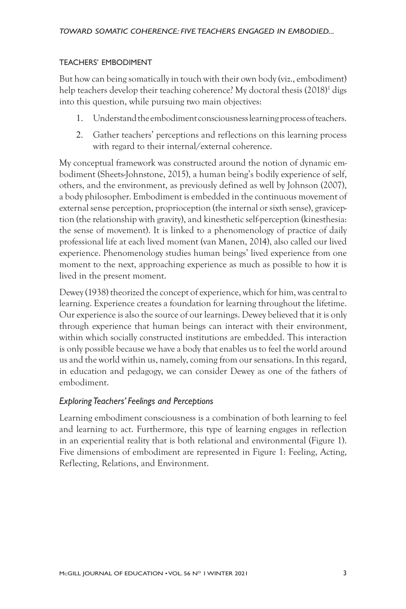## TEACHERS' EMBODIMENT

But how can being somatically in touch with their own body (viz., embodiment) help teachers develop their teaching coherence? My doctoral thesis (2018)<sup>1</sup> digs into this question, while pursuing two main objectives:

- 1. Understand the embodiment consciousness learning process of teachers.
- 2. Gather teachers' perceptions and reflections on this learning process with regard to their internal/external coherence.

My conceptual framework was constructed around the notion of dynamic embodiment (Sheets-Johnstone, 2015), a human being's bodily experience of self, others, and the environment, as previously defined as well by Johnson (2007), a body philosopher. Embodiment is embedded in the continuous movement of external sense perception, proprioception (the internal or sixth sense), graviception (the relationship with gravity), and kinesthetic self-perception (kinesthesia: the sense of movement). It is linked to a phenomenology of practice of daily professional life at each lived moment (van Manen, 2014), also called our lived experience. Phenomenology studies human beings' lived experience from one moment to the next, approaching experience as much as possible to how it is lived in the present moment.

Dewey (1938) theorized the concept of experience, which for him, was central to learning. Experience creates a foundation for learning throughout the lifetime. Our experience is also the source of our learnings. Dewey believed that it is only through experience that human beings can interact with their environment, within which socially constructed institutions are embedded. This interaction is only possible because we have a body that enables us to feel the world around us and the world within us, namely, coming from our sensations. In this regard, in education and pedagogy, we can consider Dewey as one of the fathers of embodiment.

## *Exploring Teachers' Feelings and Perceptions*

Learning embodiment consciousness is a combination of both learning to feel and learning to act. Furthermore, this type of learning engages in reflection in an experiential reality that is both relational and environmental (Figure 1). Five dimensions of embodiment are represented in Figure 1: Feeling, Acting, Reflecting, Relations, and Environment.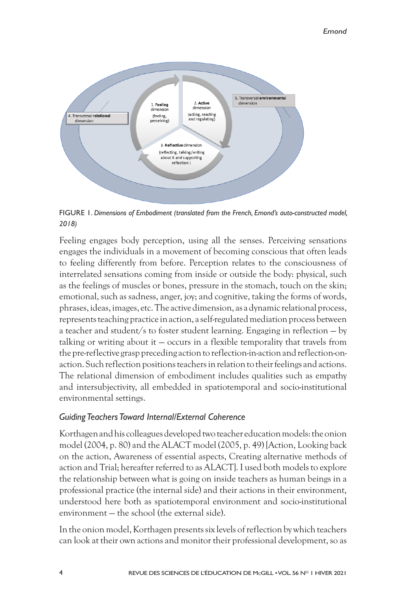

FIGURE 1. *Dimensions of Embodiment (translated from the French, Emond's auto-constructed model, 2018)*

Feeling engages body perception, using all the senses. Perceiving sensations engages the individuals in a movement of becoming conscious that often leads to feeling differently from before. Perception relates to the consciousness of interrelated sensations coming from inside or outside the body: physical, such as the feelings of muscles or bones, pressure in the stomach, touch on the skin; emotional, such as sadness, anger, joy; and cognitive, taking the forms of words, phrases, ideas, images, etc. The active dimension, as a dynamic relational process, represents teaching practice in action, a self-regulated mediation process between a teacher and student/s to foster student learning. Engaging in reflection — by talking or writing about it  $-$  occurs in a flexible temporality that travels from the pre-reflective grasp preceding action to reflection-in-action and reflection-onaction. Such reflection positions teachers in relation to their feelings and actions. The relational dimension of embodiment includes qualities such as empathy and intersubjectivity, all embedded in spatiotemporal and socio-institutional environmental settings.

## *Guiding Teachers Toward Internal/External Coherence*

Korthagen and his colleagues developed two teacher education models: the onion model (2004, p. 80) and the ALACT model (2005, p. 49) [Action, Looking back on the action, Awareness of essential aspects, Creating alternative methods of action and Trial; hereafter referred to as ALACT]. I used both models to explore the relationship between what is going on inside teachers as human beings in a professional practice (the internal side) and their actions in their environment, understood here both as spatiotemporal environment and socio-institutional environment — the school (the external side).

In the onion model, Korthagen presents six levels of reflection by which teachers can look at their own actions and monitor their professional development, so as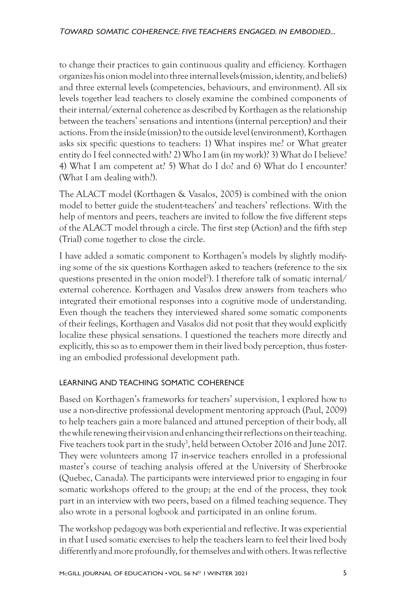to change their practices to gain continuous quality and efficiency. Korthagen organizes his onion model into three internal levels (mission, identity, and beliefs) and three external levels (competencies, behaviours, and environment). All six levels together lead teachers to closely examine the combined components of their internal/external coherence as described by Korthagen as the relationship between the teachers' sensations and intentions (internal perception) and their actions. From the inside (mission) to the outside level (environment), Korthagen asks six specific questions to teachers: 1) What inspires me? or What greater entity do I feel connected with? 2) Who I am (in my work)? 3) What do I believe? 4) What I am competent at? 5) What do I do? and 6) What do I encounter? (What I am dealing with?).

The ALACT model (Korthagen & Vasalos, 2005) is combined with the onion model to better guide the student-teachers' and teachers' reflections. With the help of mentors and peers, teachers are invited to follow the five different steps of the ALACT model through a circle. The first step (Action) and the fifth step (Trial) come together to close the circle.

I have added a somatic component to Korthagen's models by slightly modifying some of the six questions Korthagen asked to teachers (reference to the six questions presented in the onion model<sup>2</sup>). I therefore talk of somatic internal/ external coherence. Korthagen and Vasalos drew answers from teachers who integrated their emotional responses into a cognitive mode of understanding. Even though the teachers they interviewed shared some somatic components of their feelings, Korthagen and Vasalos did not posit that they would explicitly localize these physical sensations. I questioned the teachers more directly and explicitly, this so as to empower them in their lived body perception, thus fostering an embodied professional development path.

## LEARNING AND TEACHING SOMATIC COHERENCE

Based on Korthagen's frameworks for teachers' supervision, I explored how to use a non-directive professional development mentoring approach (Paul, 2009) to help teachers gain a more balanced and attuned perception of their body, all the while renewing their vision and enhancing their reflections on their teaching. Five teachers took part in the study<sup>3</sup>, held between October 2016 and June 2017. They were volunteers among 17 in-service teachers enrolled in a professional master's course of teaching analysis offered at the University of Sherbrooke (Quebec, Canada). The participants were interviewed prior to engaging in four somatic workshops offered to the group; at the end of the process, they took part in an interview with two peers, based on a filmed teaching sequence. They also wrote in a personal logbook and participated in an online forum.

The workshop pedagogy was both experiential and reflective. It was experiential in that I used somatic exercises to help the teachers learn to feel their lived body differently and more profoundly, for themselves and with others. It was reflective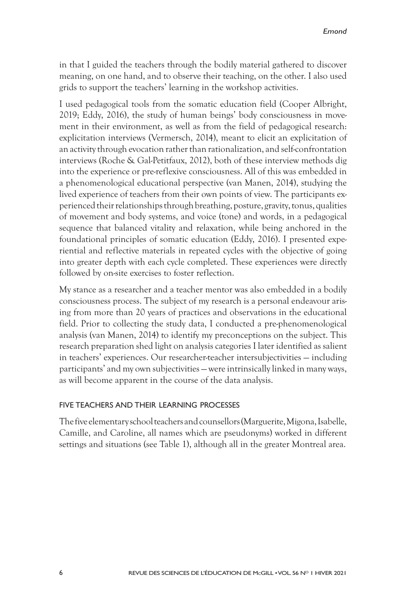in that I guided the teachers through the bodily material gathered to discover meaning, on one hand, and to observe their teaching, on the other. I also used grids to support the teachers' learning in the workshop activities.

I used pedagogical tools from the somatic education field (Cooper Albright, 2019; Eddy, 2016), the study of human beings' body consciousness in movement in their environment, as well as from the field of pedagogical research: explicitation interviews (Vermersch, 2014), meant to elicit an explicitation of an activity through evocation rather than rationalization, and self-confrontation interviews (Roche & Gal-Petitfaux, 2012), both of these interview methods dig into the experience or pre-reflexive consciousness. All of this was embedded in a phenomenological educational perspective (van Manen, 2014), studying the lived experience of teachers from their own points of view. The participants experienced their relationships through breathing, posture, gravity, tonus, qualities of movement and body systems, and voice (tone) and words, in a pedagogical sequence that balanced vitality and relaxation, while being anchored in the foundational principles of somatic education (Eddy, 2016). I presented experiential and reflective materials in repeated cycles with the objective of going into greater depth with each cycle completed. These experiences were directly followed by on-site exercises to foster reflection.

My stance as a researcher and a teacher mentor was also embedded in a bodily consciousness process. The subject of my research is a personal endeavour arising from more than 20 years of practices and observations in the educational field. Prior to collecting the study data, I conducted a pre-phenomenological analysis (van Manen, 2014) to identify my preconceptions on the subject. This research preparation shed light on analysis categories I later identified as salient in teachers' experiences. Our researcher-teacher intersubjectivities — including participants' and my own subjectivities — were intrinsically linked in many ways, as will become apparent in the course of the data analysis.

## FIVE TEACHERS AND THEIR LEARNING PROCESSES

The five elementary school teachers and counsellors (Marguerite, Migona, Isabelle, Camille, and Caroline, all names which are pseudonyms) worked in different settings and situations (see Table 1), although all in the greater Montreal area.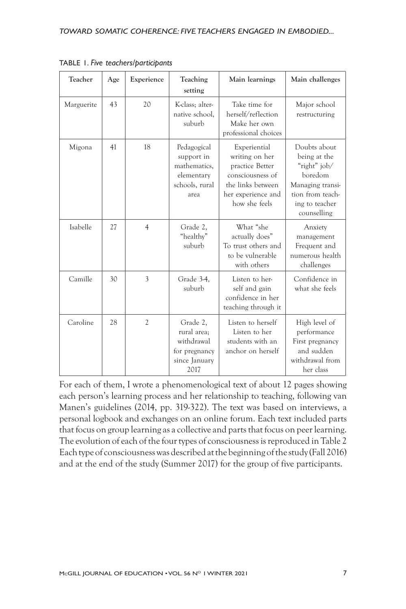| Teacher    | Age | Experience               | Teaching<br>setting                                                               | Main learnings                                                                                                                    | Main challenges                                                                                                                    |  |
|------------|-----|--------------------------|-----------------------------------------------------------------------------------|-----------------------------------------------------------------------------------------------------------------------------------|------------------------------------------------------------------------------------------------------------------------------------|--|
| Marguerite | 43  | 20                       | K-class; alter-<br>native school,<br>suburb                                       | Take time for<br>herself/reflection<br>Make her own<br>professional choices                                                       | Major school<br>restructuring                                                                                                      |  |
| Migona     | 41  | 18                       | Pedagogical<br>support in<br>mathematics,<br>elementary<br>schools, rural<br>area | Experiential<br>writing on her<br>practice Better<br>consciousness of<br>the links between<br>her experience and<br>how she feels | Doubts about<br>being at the<br>"right" $job/$<br>boredom<br>Managing transi-<br>tion from teach-<br>ing to teacher<br>counselling |  |
| Isabelle   | 27  | $\overline{4}$           | Grade 2,<br>"healthy"<br>suburb                                                   | What "she<br>actually does"<br>To trust others and<br>to be vulnerable<br>with others                                             | Anxiety<br>management<br>Frequent and<br>numerous health<br>challenges                                                             |  |
| Camille    | 30  | $\overline{\mathcal{E}}$ | Grade 3-4,<br>suburb                                                              | Listen to her-<br>self and gain<br>confidence in her<br>teaching through it                                                       | Confidence in<br>what she feels                                                                                                    |  |
| Caroline   | 28  | $\mathfrak{2}$           | Grade 2,<br>rural area;<br>withdrawal<br>for pregnancy<br>since January<br>2017   | Listen to herself<br>Listen to her<br>students with an<br>anchor on herself                                                       | High level of<br>performance<br>First pregnancy<br>and sudden<br>withdrawal from<br>her class                                      |  |

TABLE 1. *Five teachers/participants*

For each of them, I wrote a phenomenological text of about 12 pages showing each person's learning process and her relationship to teaching, following van Manen's guidelines (2014, pp. 319-322). The text was based on interviews, a personal logbook and exchanges on an online forum. Each text included parts that focus on group learning as a collective and parts that focus on peer learning. The evolution of each of the four types of consciousness is reproduced in Table 2 Each type of consciousness was described at the beginning of the study (Fall 2016) and at the end of the study (Summer 2017) for the group of five participants.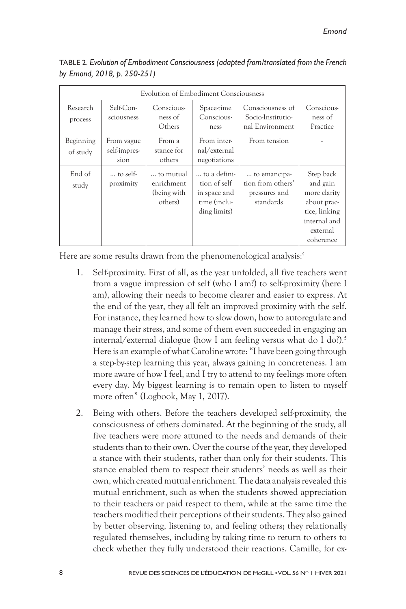| Evolution of Embodiment Consciousness |                                    |                                                   |                                                                              |                                                                 |                                                                                                                |  |  |  |  |  |
|---------------------------------------|------------------------------------|---------------------------------------------------|------------------------------------------------------------------------------|-----------------------------------------------------------------|----------------------------------------------------------------------------------------------------------------|--|--|--|--|--|
| Research<br>process                   | Self-Con-<br>sciousness            | Conscious-<br>ness of<br>Others                   | Space-time<br>Conscious-<br>ness                                             | Consciousness of<br>Socio-Institutio-<br>nal Environment        | Conscious-<br>ness of<br>Practice                                                                              |  |  |  |  |  |
| Beginning<br>of study                 | From vague<br>self-impres-<br>sion | From a<br>stance for<br>others                    | From inter-<br>nal/external<br>negotiations                                  | From tension                                                    |                                                                                                                |  |  |  |  |  |
| End of<br>study                       | to self-<br>proximity              | to mutual<br>enrichment<br>(being with<br>others) | to a defini-<br>tion of self<br>in space and<br>time (inclu-<br>ding limits) | to emancipa-<br>tion from others'<br>pressures and<br>standards | Step back<br>and gain<br>more clarity<br>about prac-<br>tice, linking<br>internal and<br>external<br>coherence |  |  |  |  |  |

TABLE 2. *Evolution of Embodiment Consciousness (adapted from/translated from the French by Emond, 2018, p. 250-251)*

Here are some results drawn from the phenomenological analysis:<sup>4</sup>

- 1. Self-proximity. First of all, as the year unfolded, all five teachers went from a vague impression of self (who I am?) to self-proximity (here I am), allowing their needs to become clearer and easier to express. At the end of the year, they all felt an improved proximity with the self. For instance, they learned how to slow down, how to autoregulate and manage their stress, and some of them even succeeded in engaging an internal/external dialogue (how I am feeling versus what do I do?).<sup>5</sup> Here is an example of what Caroline wrote: "I have been going through a step-by-step learning this year, always gaining in concreteness. I am more aware of how I feel, and I try to attend to my feelings more often every day. My biggest learning is to remain open to listen to myself more often" (Logbook, May 1, 2017).
- 2. Being with others. Before the teachers developed self-proximity, the consciousness of others dominated. At the beginning of the study, all five teachers were more attuned to the needs and demands of their students than to their own. Over the course of the year, they developed a stance with their students, rather than only for their students. This stance enabled them to respect their students' needs as well as their own, which created mutual enrichment. The data analysis revealed this mutual enrichment, such as when the students showed appreciation to their teachers or paid respect to them, while at the same time the teachers modified their perceptions of their students. They also gained by better observing, listening to, and feeling others; they relationally regulated themselves, including by taking time to return to others to check whether they fully understood their reactions. Camille, for ex-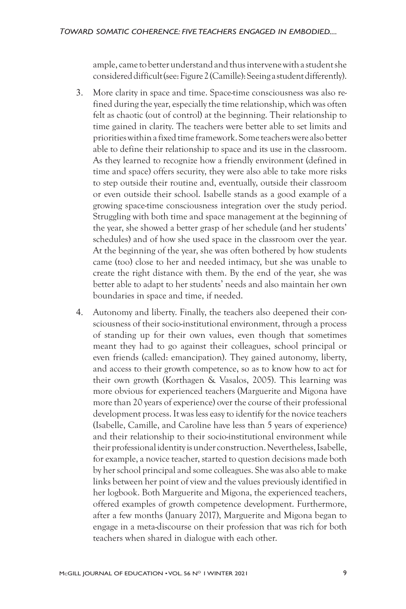ample, came to better understand and thus intervene with a student she considered difficult (see: Figure2 (Camille): Seeing a student differently).

- 3. More clarity in space and time. Space-time consciousness was also refined during the year, especially the time relationship, which was often felt as chaotic (out of control) at the beginning. Their relationship to time gained in clarity. The teachers were better able to set limits and priorities within a fixed time framework. Some teachers were also better able to define their relationship to space and its use in the classroom. As they learned to recognize how a friendly environment (defined in time and space) offers security, they were also able to take more risks to step outside their routine and, eventually, outside their classroom or even outside their school. Isabelle stands as a good example of a growing space-time consciousness integration over the study period. Struggling with both time and space management at the beginning of the year, she showed a better grasp of her schedule (and her students' schedules) and of how she used space in the classroom over the year. At the beginning of the year, she was often bothered by how students came (too) close to her and needed intimacy, but she was unable to create the right distance with them. By the end of the year, she was better able to adapt to her students' needs and also maintain her own boundaries in space and time, if needed.
- 4. Autonomy and liberty. Finally, the teachers also deepened their consciousness of their socio-institutional environment, through a process of standing up for their own values, even though that sometimes meant they had to go against their colleagues, school principal or even friends (called: emancipation). They gained autonomy, liberty, and access to their growth competence, so as to know how to act for their own growth (Korthagen & Vasalos, 2005). This learning was more obvious for experienced teachers (Marguerite and Migona have more than 20 years of experience) over the course of their professional development process. It was less easy to identify for the novice teachers (Isabelle, Camille, and Caroline have less than 5 years of experience) and their relationship to their socio-institutional environment while their professional identity is under construction. Nevertheless, Isabelle, for example, a novice teacher, started to question decisions made both by her school principal and some colleagues. She was also able to make links between her point of view and the values previously identified in her logbook. Both Marguerite and Migona, the experienced teachers, offered examples of growth competence development. Furthermore, after a few months (January 2017), Marguerite and Migona began to engage in a meta-discourse on their profession that was rich for both teachers when shared in dialogue with each other.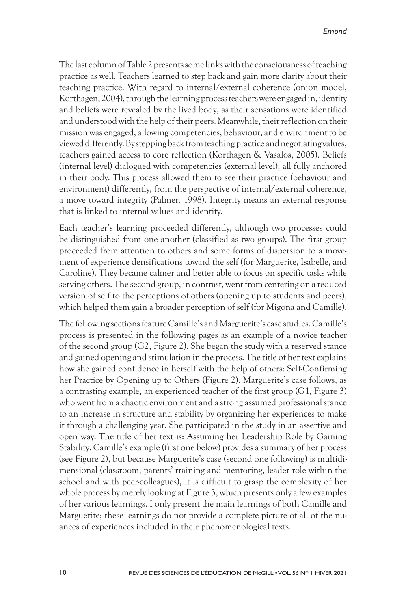The last column of Table 2 presents some links with the consciousness of teaching practice as well. Teachers learned to step back and gain more clarity about their teaching practice. With regard to internal/external coherence (onion model, Korthagen, 2004), through the learning process teachers were engaged in, identity and beliefs were revealed by the lived body, as their sensations were identified and understood with the help of their peers. Meanwhile, their reflection on their mission was engaged, allowing competencies, behaviour, and environment to be viewed differently. By stepping back from teaching practice and negotiating values, teachers gained access to core reflection (Korthagen & Vasalos, 2005). Beliefs (internal level) dialogued with competencies (external level), all fully anchored in their body. This process allowed them to see their practice (behaviour and environment) differently, from the perspective of internal/external coherence, a move toward integrity (Palmer, 1998). Integrity means an external response that is linked to internal values and identity.

Each teacher's learning proceeded differently, although two processes could be distinguished from one another (classified as two groups). The first group proceeded from attention to others and some forms of dispersion to a movement of experience densifications toward the self (for Marguerite, Isabelle, and Caroline). They became calmer and better able to focus on specific tasks while serving others. The second group, in contrast, went from centering on a reduced version of self to the perceptions of others (opening up to students and peers), which helped them gain a broader perception of self (for Migona and Camille).

The following sections feature Camille's and Marguerite's case studies. Camille's process is presented in the following pages as an example of a novice teacher of the second group (G2, Figure 2). She began the study with a reserved stance and gained opening and stimulation in the process. The title of her text explains how she gained confidence in herself with the help of others: Self-Confirming her Practice by Opening up to Others (Figure 2). Marguerite's case follows, as a contrasting example, an experienced teacher of the first group (G1, Figure 3) who went from a chaotic environment and a strong assumed professional stance to an increase in structure and stability by organizing her experiences to make it through a challenging year. She participated in the study in an assertive and open way. The title of her text is: Assuming her Leadership Role by Gaining Stability. Camille's example (first one below) provides a summary of her process (see Figure 2), but because Marguerite's case (second one following) is multidimensional (classroom, parents' training and mentoring, leader role within the school and with peer-colleagues), it is difficult to grasp the complexity of her whole process by merely looking at Figure 3, which presents only a few examples of her various learnings. I only present the main learnings of both Camille and Marguerite; these learnings do not provide a complete picture of all of the nuances of experiences included in their phenomenological texts.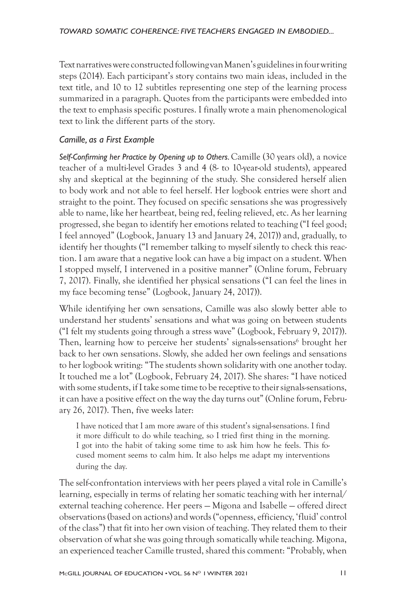Text narratives were constructed following van Manen's guidelines in four writing steps (2014). Each participant's story contains two main ideas, included in the text title, and 10 to 12 subtitles representing one step of the learning process summarized in a paragraph. Quotes from the participants were embedded into the text to emphasis specific postures. I finally wrote a main phenomenological text to link the different parts of the story.

## *Camille, as a First Example*

*Self-Confirming her Practice by Opening up to Others.* Camille (30 years old), a novice teacher of a multi-level Grades 3 and 4 (8- to 10-year-old students), appeared shy and skeptical at the beginning of the study. She considered herself alien to body work and not able to feel herself. Her logbook entries were short and straight to the point. They focused on specific sensations she was progressively able to name, like her heartbeat, being red, feeling relieved, etc. As her learning progressed, she began to identify her emotions related to teaching ("I feel good; I feel annoyed" (Logbook, January 13 and January 24, 2017)) and, gradually, to identify her thoughts ("I remember talking to myself silently to check this reaction. I am aware that a negative look can have a big impact on a student. When I stopped myself, I intervened in a positive manner" (Online forum, February 7, 2017). Finally, she identified her physical sensations ("I can feel the lines in my face becoming tense" (Logbook, January 24, 2017)).

While identifying her own sensations, Camille was also slowly better able to understand her students' sensations and what was going on between students ("I felt my students going through a stress wave" (Logbook, February 9, 2017)). Then, learning how to perceive her students' signals-sensations<sup>6</sup> brought her back to her own sensations. Slowly, she added her own feelings and sensations to her logbook writing: "The students shown solidarity with one another today. It touched me a lot" (Logbook, February 24, 2017). She shares: "I have noticed with some students, if I take some time to be receptive to their signals-sensations, it can have a positive effect on the way the day turns out" (Online forum, February 26, 2017). Then, five weeks later:

I have noticed that I am more aware of this student's signal-sensations. I find it more difficult to do while teaching, so I tried first thing in the morning. I got into the habit of taking some time to ask him how he feels. This focused moment seems to calm him. It also helps me adapt my interventions during the day.

The self-confrontation interviews with her peers played a vital role in Camille's learning, especially in terms of relating her somatic teaching with her internal/ external teaching coherence. Her peers — Migona and Isabelle — offered direct observations (based on actions) and words ("openness, efficiency, 'fluid' control of the class") that fit into her own vision of teaching. They related them to their observation of what she was going through somatically while teaching. Migona, an experienced teacher Camille trusted, shared this comment: "Probably, when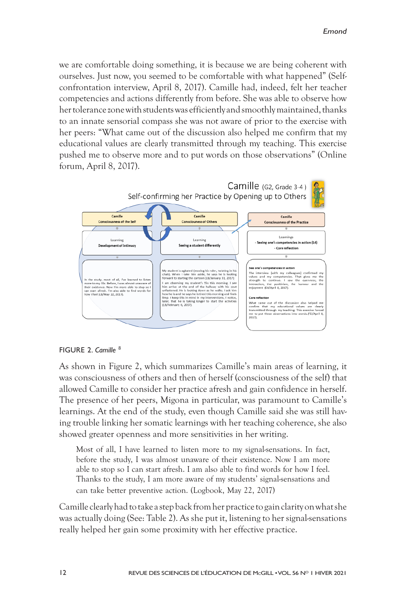we are comfortable doing something, it is because we are being coherent with ourselves. Just now, you seemed to be comfortable with what happened" (Selfconfrontation interview, April 8, 2017). Camille had, indeed, felt her teacher competencies and actions differently from before. She was able to observe how her tolerance zone with students was efficiently and smoothly maintained, thanks to an innate sensorial compass she was not aware of prior to the exercise with her peers: "What came out of the discussion also helped me confirm that my educational values are clearly transmitted through my teaching. This exercise pushed me to observe more and to put words on those observations" (Online forum, April 8, 2017).



#### FIGURE 2. *Camille* <sup>8</sup>

As shown in Figure 2, which summarizes Camille's main areas of learning, it was consciousness of others and then of herself (consciousness of the self) that allowed Camille to consider her practice afresh and gain confidence in herself. The presence of her peers, Migona in particular, was paramount to Camille's learnings. At the end of the study, even though Camille said she was still having trouble linking her somatic learnings with her teaching coherence, she also showed greater openness and more sensitivities in her writing.

Most of all, I have learned to listen more to my signal-sensations. In fact, before the study, I was almost unaware of their existence. Now I am more able to stop so I can start afresh. I am also able to find words for how I feel. Thanks to the study, I am more aware of my students' signal-sensations and can take better preventive action. (Logbook, May 22, 2017)

Camille clearly had to take a step back from her practice to gain clarity on what she was actually doing (See: Table 2). As she put it, listening to her signal-sensations really helped her gain some proximity with her effective practice.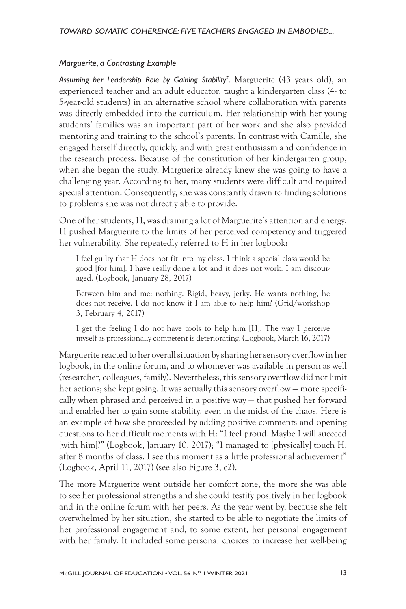## *Marguerite, a Contrasting Example*

*Assuming her Leadership Role by Gaining Stability*<sup>7</sup> . Marguerite (43 years old), an experienced teacher and an adult educator, taught a kindergarten class (4- to 5-year-old students) in an alternative school where collaboration with parents was directly embedded into the curriculum. Her relationship with her young students' families was an important part of her work and she also provided mentoring and training to the school's parents. In contrast with Camille, she engaged herself directly, quickly, and with great enthusiasm and confidence in the research process. Because of the constitution of her kindergarten group, when she began the study, Marguerite already knew she was going to have a challenging year. According to her, many students were difficult and required special attention. Consequently, she was constantly drawn to finding solutions to problems she was not directly able to provide.

One of her students, H, was draining a lot of Marguerite's attention and energy. H pushed Marguerite to the limits of her perceived competency and triggered her vulnerability. She repeatedly referred to H in her logbook:

I feel guilty that H does not fit into my class. I think a special class would be good [for him]. I have really done a lot and it does not work. I am discouraged. (Logbook, January 28, 2017)

Between him and me: nothing. Rigid, heavy, jerky. He wants nothing, he does not receive. I do not know if I am able to help him? (Grid/workshop 3, February 4, 2017)

I get the feeling I do not have tools to help him [H]. The way I perceive myself as professionally competent is deteriorating. (Logbook, March 16, 2017)

Marguerite reacted to her overall situation by sharing her sensory overflow in her logbook, in the online forum, and to whomever was available in person as well (researcher, colleagues, family). Nevertheless, this sensory overflow did not limit her actions; she kept going. It was actually this sensory overflow — more specifically when phrased and perceived in a positive way — that pushed her forward and enabled her to gain some stability, even in the midst of the chaos. Here is an example of how she proceeded by adding positive comments and opening questions to her difficult moments with H: "I feel proud. Maybe I will succeed [with him]?" (Logbook, January 10, 2017); "I managed to [physically] touch H, after 8 months of class. I see this moment as a little professional achievement" (Logbook, April 11, 2017) (see also Figure 3, c2).

The more Marguerite went outside her comfort zone, the more she was able to see her professional strengths and she could testify positively in her logbook and in the online forum with her peers. As the year went by, because she felt overwhelmed by her situation, she started to be able to negotiate the limits of her professional engagement and, to some extent, her personal engagement with her family. It included some personal choices to increase her well-being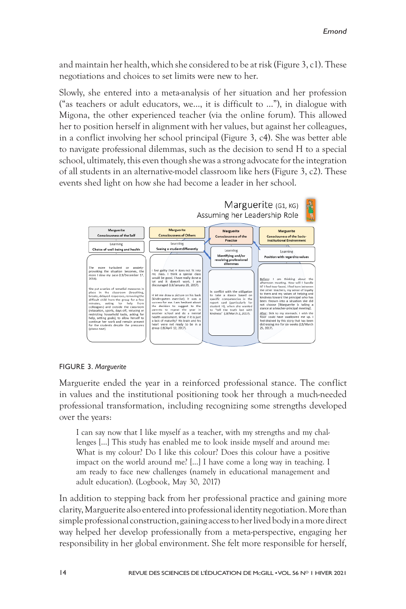and maintain her health, which she considered to be at risk (Figure 3, c1). These negotiations and choices to set limits were new to her.

Slowly, she entered into a meta-analysis of her situation and her profession ("as teachers or adult educators, we…, it is difficult to …"), in dialogue with Migona, the other experienced teacher (via the online forum). This allowed her to position herself in alignment with her values, but against her colleagues, in a conflict involving her school principal (Figure 3, c4). She was better able to navigate professional dilemmas, such as the decision to send H to a special school, ultimately, this even though she was a strong advocate for the integration of all students in an alternative-model classroom like hers (Figure 3, c2). These events shed light on how she had become a leader in her school.



FIGURE 3. *Marguerite*

Marguerite ended the year in a reinforced professional stance. The conflict in values and the institutional positioning took her through a much-needed professional transformation, including recognizing some strengths developed over the years:

I can say now that I like myself as a teacher, with my strengths and my challenges […] This study has enabled me to look inside myself and around me: What is my colour? Do I like this colour? Does this colour have a positive impact on the world around me? […] I have come a long way in teaching. I am ready to face new challenges (namely in educational management and adult education). (Logbook, May 30, 2017)

In addition to stepping back from her professional practice and gaining more clarity, Marguerite also entered into professional identity negotiation. More than simple professional construction, gaining access to her lived body in a more direct way helped her develop professionally from a meta-perspective, engaging her responsibility in her global environment. She felt more responsible for herself,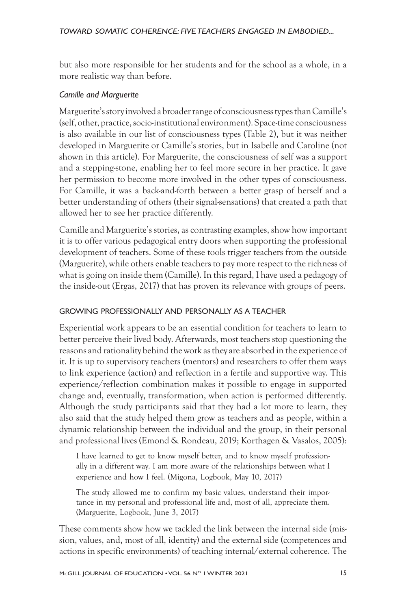#### *TOWARD SOMATIC COHERENCE: FIVE TEACHERS ENGAGED IN EMBODIED...*

but also more responsible for her students and for the school as a whole, in a more realistic way than before.

## *Camille and Marguerite*

Marguerite's story involved a broader range of consciousness types than Camille's (self, other, practice, socio-institutional environment). Space-time consciousness is also available in our list of consciousness types (Table 2), but it was neither developed in Marguerite or Camille's stories, but in Isabelle and Caroline (not shown in this article). For Marguerite, the consciousness of self was a support and a stepping-stone, enabling her to feel more secure in her practice. It gave her permission to become more involved in the other types of consciousness. For Camille, it was a back-and-forth between a better grasp of herself and a better understanding of others (their signal-sensations) that created a path that allowed her to see her practice differently.

Camille and Marguerite's stories, as contrasting examples, show how important it is to offer various pedagogical entry doors when supporting the professional development of teachers. Some of these tools trigger teachers from the outside (Marguerite), while others enable teachers to pay more respect to the richness of what is going on inside them (Camille). In this regard, I have used a pedagogy of the inside-out (Ergas, 2017) that has proven its relevance with groups of peers.

## GROWING PROFESSIONALLY AND PERSONALLY AS A TEACHER

Experiential work appears to be an essential condition for teachers to learn to better perceive their lived body. Afterwards, most teachers stop questioning the reasons and rationality behind the work as they are absorbed in the experience of it. It is up to supervisory teachers (mentors) and researchers to offer them ways to link experience (action) and reflection in a fertile and supportive way. This experience/reflection combination makes it possible to engage in supported change and, eventually, transformation, when action is performed differently. Although the study participants said that they had a lot more to learn, they also said that the study helped them grow as teachers and as people, within a dynamic relationship between the individual and the group, in their personal and professional lives (Emond & Rondeau, 2019; Korthagen & Vasalos, 2005):

I have learned to get to know myself better, and to know myself professionally in a different way. I am more aware of the relationships between what I experience and how I feel. (Migona, Logbook, May 10, 2017)

The study allowed me to confirm my basic values, understand their importance in my personal and professional life and, most of all, appreciate them. (Marguerite, Logbook, June 3, 2017)

These comments show how we tackled the link between the internal side (mission, values, and, most of all, identity) and the external side (competences and actions in specific environments) of teaching internal/external coherence. The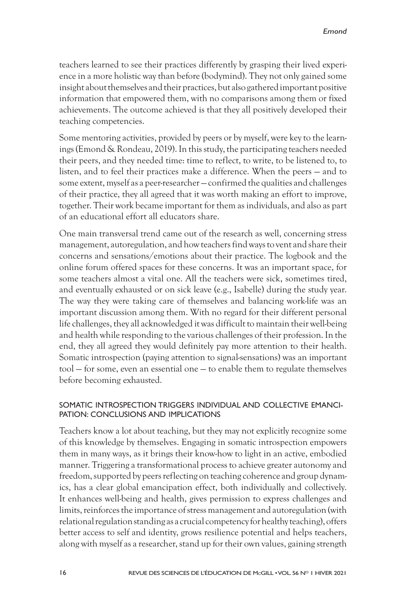teachers learned to see their practices differently by grasping their lived experience in a more holistic way than before (bodymind). They not only gained some insight about themselves and their practices, but also gathered important positive information that empowered them, with no comparisons among them or fixed achievements. The outcome achieved is that they all positively developed their teaching competencies.

Some mentoring activities, provided by peers or by myself, were key to the learnings (Emond & Rondeau, 2019). In this study, the participating teachers needed their peers, and they needed time: time to reflect, to write, to be listened to, to listen, and to feel their practices make a difference. When the peers — and to some extent, myself as a peer-researcher — confirmed the qualities and challenges of their practice, they all agreed that it was worth making an effort to improve, together. Their work became important for them as individuals, and also as part of an educational effort all educators share.

One main transversal trend came out of the research as well, concerning stress management, autoregulation, and how teachers find ways to vent and share their concerns and sensations/emotions about their practice. The logbook and the online forum offered spaces for these concerns. It was an important space, for some teachers almost a vital one. All the teachers were sick, sometimes tired, and eventually exhausted or on sick leave (e.g., Isabelle) during the study year. The way they were taking care of themselves and balancing work-life was an important discussion among them. With no regard for their different personal life challenges, they all acknowledged it was difficult to maintain their well-being and health while responding to the various challenges of their profession. In the end, they all agreed they would definitely pay more attention to their health. Somatic introspection (paying attention to signal-sensations) was an important tool — for some, even an essential one — to enable them to regulate themselves before becoming exhausted.

## SOMATIC INTROSPECTION TRIGGERS INDIVIDUAL AND COLLECTIVE EMANCI-PATION: CONCLUSIONS AND IMPLICATIONS

Teachers know a lot about teaching, but they may not explicitly recognize some of this knowledge by themselves. Engaging in somatic introspection empowers them in many ways, as it brings their know-how to light in an active, embodied manner. Triggering a transformational process to achieve greater autonomy and freedom, supported by peers reflecting on teaching coherence and group dynamics, has a clear global emancipation effect, both individually and collectively. It enhances well-being and health, gives permission to express challenges and limits, reinforces the importance of stress management and autoregulation (with relational regulation standing as a crucial competency for healthy teaching), offers better access to self and identity, grows resilience potential and helps teachers, along with myself as a researcher, stand up for their own values, gaining strength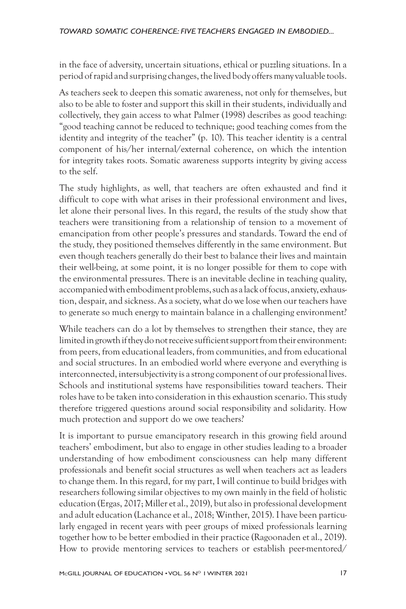in the face of adversity, uncertain situations, ethical or puzzling situations. In a period of rapid and surprising changes, the lived body offers many valuable tools.

As teachers seek to deepen this somatic awareness, not only for themselves, but also to be able to foster and support this skill in their students, individually and collectively, they gain access to what Palmer (1998) describes as good teaching: "good teaching cannot be reduced to technique; good teaching comes from the identity and integrity of the teacher" (p. 10). This teacher identity is a central component of his/her internal/external coherence, on which the intention for integrity takes roots. Somatic awareness supports integrity by giving access to the self.

The study highlights, as well, that teachers are often exhausted and find it difficult to cope with what arises in their professional environment and lives, let alone their personal lives. In this regard, the results of the study show that teachers were transitioning from a relationship of tension to a movement of emancipation from other people's pressures and standards. Toward the end of the study, they positioned themselves differently in the same environment. But even though teachers generally do their best to balance their lives and maintain their well-being, at some point, it is no longer possible for them to cope with the environmental pressures. There is an inevitable decline in teaching quality, accompanied with embodiment problems, such as a lack of focus, anxiety, exhaustion, despair, and sickness. As a society, what do we lose when our teachers have to generate so much energy to maintain balance in a challenging environment?

While teachers can do a lot by themselves to strengthen their stance, they are limited in growth if they do not receive sufficient support from their environment: from peers, from educational leaders, from communities, and from educational and social structures. In an embodied world where everyone and everything is interconnected, intersubjectivity is a strong component of our professional lives. Schools and institutional systems have responsibilities toward teachers. Their roles have to be taken into consideration in this exhaustion scenario. This study therefore triggered questions around social responsibility and solidarity. How much protection and support do we owe teachers?

It is important to pursue emancipatory research in this growing field around teachers' embodiment, but also to engage in other studies leading to a broader understanding of how embodiment consciousness can help many different professionals and benefit social structures as well when teachers act as leaders to change them. In this regard, for my part, I will continue to build bridges with researchers following similar objectives to my own mainly in the field of holistic education (Ergas, 2017; Miller et al., 2019), but also in professional development and adult education (Lachance et al., 2018; Winther, 2015). I have been particularly engaged in recent years with peer groups of mixed professionals learning together how to be better embodied in their practice (Ragoonaden et al., 2019). How to provide mentoring services to teachers or establish peer-mentored/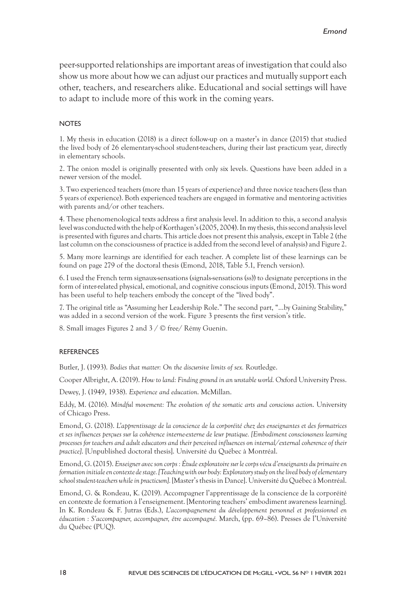peer-supported relationships are important areas of investigation that could also show us more about how we can adjust our practices and mutually support each other, teachers, and researchers alike. Educational and social settings will have to adapt to include more of this work in the coming years.

#### **NOTES**

1. My thesis in education (2018) is a direct follow-up on a master's in dance (2015) that studied the lived body of 26 elementary-school student-teachers, during their last practicum year, directly in elementary schools.

2. The onion model is originally presented with only six levels. Questions have been added in a newer version of the model.

3. Two experienced teachers (more than 15 years of experience) and three novice teachers (less than 5 years of experience). Both experienced teachers are engaged in formative and mentoring activities with parents and/or other teachers.

4. These phenomenological texts address a first analysis level. In addition to this, a second analysis level was conducted with the help of Korthagen's (2005, 2004). In my thesis, this second analysis level is presented with figures and charts. This article does not present this analysis, except in Table 2 (the last column on the consciousness of practice is added from the second level of analysis) and Figure 2.

5. Many more learnings are identified for each teacher. A complete list of these learnings can be found on page 279 of the doctoral thesis (Emond, 2018, Table 5.1, French version).

6. I used the French term signaux-sensations (signals-sensations (ss)) to designate perceptions in the form of inter-related physical, emotional, and cognitive conscious inputs (Emond, 2015). This word has been useful to help teachers embody the concept of the "lived body".

7. The original title as "Assuming her Leadership Role." The second part, "…by Gaining Stability," was added in a second version of the work. Figure 3 presents the first version's title.

8. Small images Figures 2 and 3 / © free/ Rémy Guenin.

#### **REFERENCES**

Butler, J. (1993). *Bodies that matter: On the discursive limits of sex.* Routledge.

Cooper Albright, A. (2019). *How to land: Finding ground in an unstable world.* Oxford University Press.

Dewey, J. (1949, 1938). *Experience and education*. McMillan.

Eddy, M. (2016). *Mindful movement: The evolution of the somatic arts and conscious action*. University of Chicago Press.

Emond, G. (2018). *L'apprentissage de la conscience de la corporéité chez des enseignantes et des formatrices et ses influences perçues sur la cohérence interne-externe de leur pratique. [Embodiment consciousness learning processes for teachers and adult educators and their perceived influences on internal/external coherence of their practice]*. [Unpublished doctoral thesis]. Université du Québec à Montréal.

Emond, G. (2015). *Enseigner avec son corps : Étude exploratoire sur le corps vécu d'enseignants du primaire en formation initiale en contexte de stage. [Teaching with our body: Exploratory study on the lived body of elementary school student-teachers while in practicum].* [Master's thesis in Dance]. Université du Québec à Montréal.

Emond, G. & Rondeau, K. (2019). Accompagner l'apprentissage de la conscience de la corporéité en contexte de formation à l'enseignement. [Mentoring teachers' embodiment awareness learning]. In K. Rondeau & F. Jutras (Eds.), *L'accompagnement du développement personnel et professionnel en éducation : S'accompagner, accompagner, être accompagné.* March, (pp. 69–86). Presses de l'Université du Québec (PUQ).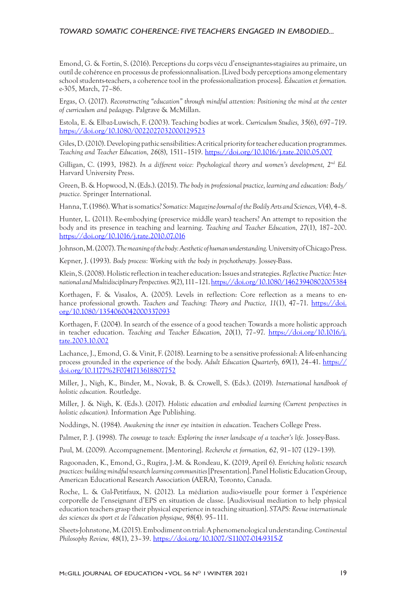#### *TOWARD SOMATIC COHERENCE: FIVE TEACHERS ENGAGED IN EMBODIED...*

Emond, G. & Fortin, S. (2016). Perceptions du corps vécu d'enseignantes-stagiaires au primaire, un outil de cohérence en processus de professionnalisation. [Lived body perceptions among elementary school students-teachers, a coherence tool in the professionalization process]. *Éducation et formation.* e-305, March, 77–86.

Ergas, O. (2017). *Reconstructing "education" through mindful attention: Positioning the mind at the center of curriculum and pedagogy.* Palgrave & McMillan.

Estola, E. & Elbaz-Luwisch, F. (2003). Teaching bodies at work. *Curriculum Studies, 35*(6), 697–719. https://doi.org/10.1080/0022027032000129523

Giles, D. (2010). Developing pathic sensibilities: A critical priority for teacher education programmes. *Teaching and Teacher Education, 26*(8), 1511–1519. https://doi.org/10.1016/j.tate.2010.05.007

Gilligan, C. (1993, 1982). *In a different voice: Psychological theory and women's development, 2nd Ed.* Harvard University Press.

Green, B. & Hopwood, N. (Eds.). (2015). *The body in professional practice, learning and education: Body/ practice.* Springer International.

Hanna, T. (1986). What is somatics? *Somatics: Magazine-Journal of the Bodily Arts and Sciences, V*(4), 4–8.

Hunter, L. (2011). Re-embodying (preservice middle years) teachers? An attempt to reposition the body and its presence in teaching and learning. *Teaching and Teacher Education, 27*(1), 187–200. https://doi.org/10.1016/j.tate.2010.07.016

Johnson, M. (2007). *The meaning of the body: Aesthetic of human understanding.* University of Chicago Press.

Kepner, J. (1993). *Body process: Working with the body in psychotherapy.* Jossey-Bass.

Klein, S. (2008). Holistic reflection in teacher education: Issues and strategies. *Reflective Practice: International and Multidisciplinary Perspectives. 9*(2), 111–121. https://doi.org/10.1080/14623940802005384

Korthagen, F. & Vasalos, A. (2005). Levels in reflection: Core reflection as a means to enhance professional growth. *Teachers and Teaching: Theory and Practice, 11*(1), 47–71. https://doi. org/10.1080/1354060042000337093

Korthagen, F. (2004). In search of the essence of a good teacher: Towards a more holistic approach in teacher education. *Teaching and Teacher Education, 20*(1), 77–97. https://doi.org/10.1016/j. tate.2003.10.002

Lachance, J., Emond, G. & Vinit, F. (2018). Learning to be a sensitive professional: A life-enhancing process grounded in the experience of the body. *Adult Education Quarterly, 69*(1), 24–41. https:// doi.org/10.1177%2F0741713618807752

Miller, J., Nigh, K., Binder, M., Novak, B. & Crowell, S. (Eds.). (2019). *International handbook of holistic education.* Routledge.

Miller, J. & Nigh, K. (Eds.). (2017). *Holistic education and embodied learning (Current perspectives in holistic education).* Information Age Publishing.

Noddings, N. (1984). *Awakening the inner eye intuition in education*. Teachers College Press.

Palmer, P. J. (1998). *The courage to teach: Exploring the inner landscape of a teacher's life.* Jossey-Bass.

Paul, M. (2009). Accompagnement. [Mentoring]. *Recherche et formation, 62,* 91–107 (129–139).

Ragoonaden, K., Emond, G., Rugira, J.-M. & Rondeau, K. (2019, April 6). *Enriching holistic research practices: building mindful research learning communities* [Presentation]. Panel Holistic Education Group, American Educational Research Association (AERA), Toronto, Canada.

Roche, L. & Gal-Petitfaux, N. (2012). La médiation audio-visuelle pour former à l'expérience corporelle de l'enseignant d'EPS en situation de classe. [Audiovisual mediation to help physical education teachers grasp their physical experience in teaching situation]. *STAPS: Revue internationale des sciences du sport et de l'éducation physique, 98*(4). 95–111.

Sheets-Johnstone, M. (2015). Embodiment on trial: A phenomenological understanding. *Continental Philosophy Review, 48*(1), 23–39. https://doi.org/10.1007/S11007-014-9315-Z